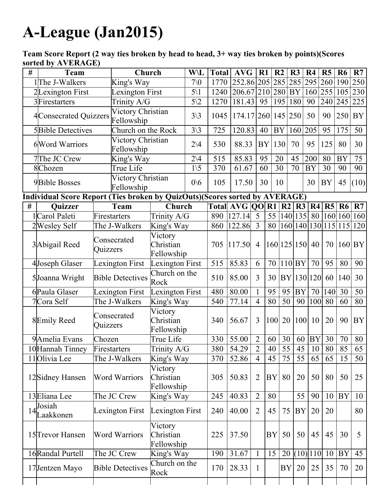## ALeague (Jan2015)

Team Score Report (2 way ties broken by head to head, 3+ way ties broken by points)(Scores sorted by AVERAGE)

| # | <b>Team</b>                                                                 |                                | Church                          |                                    | W\L             | <b>Total</b>        | <b>AVG</b>              | $R1$           |                 | R <sub>2</sub> | R3        | R <sub>4</sub> | R <sub>5</sub>       | R <sub>6</sub> | R7              |
|---|-----------------------------------------------------------------------------|--------------------------------|---------------------------------|------------------------------------|-----------------|---------------------|-------------------------|----------------|-----------------|----------------|-----------|----------------|----------------------|----------------|-----------------|
|   | 1The J-Walkers                                                              |                                | King's Way                      |                                    | 70 <sub>0</sub> | 1770                | 252.86 205 285 285      |                |                 |                |           | 295 260        |                      | 190            | 250             |
|   | 2Lexington First                                                            |                                | <b>Lexington First</b>          |                                    | $5\backslash1$  | 1240                | $206.67$ 210 280 BY     |                |                 |                |           |                | 160 255 105          |                | 230             |
|   | 3Firestarters                                                               |                                | Trinity A/G                     |                                    | $5\sqrt{2}$     | 1270                | 181.43 95 195 180       |                |                 |                |           | 90             | 240                  | 245            | 225             |
|   | 4 Consecrated Quizzers                                                      |                                | Victory Christian<br>Fellowship |                                    | $3\backslash 3$ | 1045                | 174.17 260 145 250      |                |                 |                |           | 50             | 90                   | 250            | <b>BY</b>       |
|   | <b>5</b> Bible Detectives                                                   |                                | Church on the Rock              |                                    | $3\backslash 3$ | 725                 | 120.83                  | 40             | BY              |                | 160       | 205            | 95                   | 175            | 50              |
|   | 6 Word Warriors                                                             |                                | Victory Christian<br>Fellowship |                                    | $2\vee 4$       | 530                 | 88.33                   |                | BY <sub>1</sub> | 130            | 70        | 95             | 125                  | 80             | 30              |
|   | 7The JC Crew                                                                |                                | King's Way                      |                                    | $2\vee 4$       | 515                 | 85.83                   | 95             |                 | 20             | 45        | 200            | 80                   | <b>BY</b>      | $\overline{75}$ |
|   | 8Chozen                                                                     |                                | True Life                       |                                    | $1\backslash 5$ | 370                 | 61.67                   | 60             |                 | 30             | 70        | <b>BY</b>      | 30                   | 90             | 90              |
|   | <b>9</b> Bible Bosses                                                       |                                | Victory Christian<br>Fellowship |                                    | 0/6             | 105                 | 17.50                   | 30             |                 | 10             |           | 30             | <b>BY</b>            | 45             | (10)            |
|   | Individual Score Report (Ties broken by QuizOuts)(Scores sorted by AVERAGE) |                                |                                 |                                    |                 |                     |                         |                |                 |                |           |                |                      |                |                 |
| # | Quizzer                                                                     |                                | Team                            | Church                             |                 |                     | Total $AVG$ QO R1 R2 R3 |                |                 |                |           | R4             | R5                   | <b>R6</b>      | R7              |
|   | 1 Carol Paleti                                                              |                                | Firestarters                    | Trinity A/G                        |                 |                     | 890 127.14 5            |                |                 | 55   140   135 |           | 80             | 160 160 160          |                |                 |
|   | 2 Wesley Self                                                               | The J-Walkers                  |                                 | King's Way                         |                 | $ 122.86 $ 3<br>860 |                         |                | 80              |                |           |                | 160 140 130 15 15 15 |                | 120             |
|   | 3 Abigail Reed                                                              | Consecrated<br><b>Quizzers</b> |                                 | Victory<br>Christian<br>Fellowship |                 | 705                 | 117.50                  | $\overline{4}$ | 160 125 150     |                |           | 40             |                      | 70 160 BY      |                 |
|   | 4Joseph Glaser                                                              | <b>Lexington First</b>         |                                 | Lexington First                    |                 | 515                 | 85.83                   | 6              | 70              |                | 110 BY    | 70             | 95                   | 80             | 90              |
|   | 5Joanna Wright                                                              | <b>Bible Detectives</b>        |                                 | Church on the<br>Rock              |                 | 510                 | 85.00                   | $\overline{3}$ | 30              |                |           | BY 130 120     | 60                   | 140            | 30              |
|   | 6Paula Glaser                                                               | Lexington First                |                                 | Lexington First                    |                 | 480                 | 80.00                   |                | 95              | 95             | <b>BY</b> | 70             | 140                  | 30             | 50              |
|   | 7Cora Self                                                                  | The J-Walkers                  |                                 | King's Way                         |                 | 540                 | 77.14                   | $\overline{4}$ | 80              | 50             | 90        | 100            | 80                   | 60             | 80              |
|   | 8Emily Reed                                                                 | Consecrated<br>Quizzers        |                                 | Victory<br>Christian<br>Fellowship |                 | 340                 | 56.67                   | $\overline{3}$ | 100 20          |                |           | 100 10         | 20                   | 90             | <b>BY</b>       |
|   | 9Amelia Evans                                                               | Chozen                         |                                 | True Life                          |                 | 330                 | 55.00                   | $\overline{2}$ | 60              | 30             | 60        | <b>BY</b>      | 30                   | 70             | 80              |
|   | 10 Hannah Tinney                                                            | Firestarters                   |                                 | Trinity A/G                        |                 | 380                 | 54.29                   | $\overline{2}$ |                 |                |           | $40$ 55 45 10  | 80                   | 85             | 65              |
|   | 11 Olivia Lee                                                               | The J-Walkers                  |                                 | King's Way                         |                 | 370                 | 52.86                   | $\overline{4}$ | 45              | 75             | 55        | 65             | 65                   | 15             | 50              |
|   | 12 Sidney Hansen                                                            | <b>Word Warriors</b>           |                                 | Victory<br>Christian<br>Fellowship |                 | 305                 | 50.83                   | $\overline{2}$ | <b>BY</b>       | 80             | 20        | 50             | 80                   | 50             | 25              |
|   | 13 Eliana Lee                                                               | The JC Crew                    |                                 | King's Way                         |                 | 245                 | 40.83                   | $\overline{2}$ | 80              |                | 55        | 90             | 10                   | <b>BY</b>      | 10              |
|   | Josiah<br>$14$ Laakkonen                                                    | Lexington First                |                                 | Lexington First                    |                 | 240                 | 40.00                   | $\overline{2}$ | 45              | 75             | BY        | 20             | 20                   |                | 80              |
|   | 15 <sup>T</sup> revor Hansen                                                | <b>Word Warriors</b>           |                                 | Victory<br>Christian<br>Fellowship |                 | 225                 | 37.50                   |                | BY              | 50             | 50        | 45             | 45                   | 30             | 5               |
|   | 16 Randal Purtell                                                           | The JC Crew                    |                                 | King's Way                         |                 | 190                 | 31.67                   | $\mathbf{1}$   | 15              | 20             |           | $(10)$  110    | 10                   | <b>BY</b>      | 45              |
|   | 17Jentzen Mayo                                                              | <b>Bible Detectives</b>        |                                 | Church on the<br>Rock              |                 | 170                 | 28.33                   | $\mathbf{1}$   |                 | <b>BY</b>      | 20        | 25             | 35                   | 70             | 20              |
|   |                                                                             |                                |                                 |                                    |                 |                     |                         |                |                 |                |           |                |                      |                |                 |